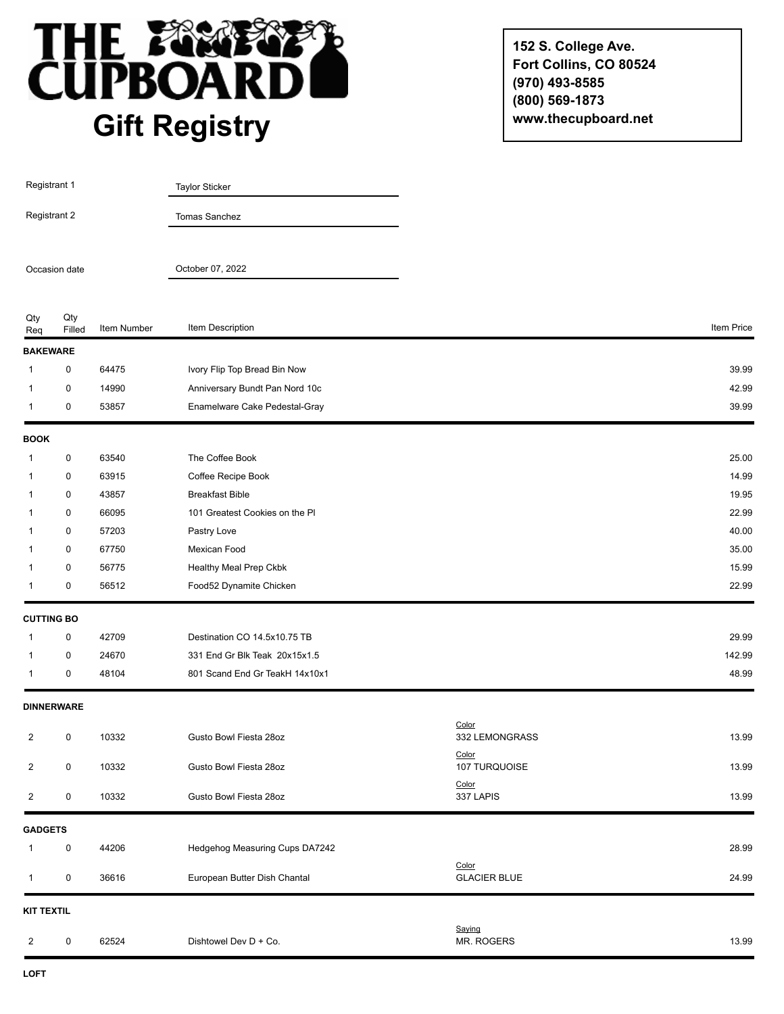

**152 S. College Ave. Fort Collins, CO 80524 (970) 493-8585 (800) 569-1873 www.thecupboard.net**

| Registrant 1                  |                   |             | <b>Taylor Sticker</b>          |                              |            |
|-------------------------------|-------------------|-------------|--------------------------------|------------------------------|------------|
| Registrant 2<br>Occasion date |                   |             | Tomas Sanchez                  |                              |            |
|                               |                   |             | October 07, 2022               |                              |            |
| Qty<br>Req                    | Qty<br>Filled     | Item Number | Item Description               |                              | Item Price |
| <b>BAKEWARE</b>               |                   |             |                                |                              |            |
| 1                             | 0                 | 64475       | Ivory Flip Top Bread Bin Now   |                              | 39.99      |
| 1                             | 0                 | 14990       | Anniversary Bundt Pan Nord 10c |                              | 42.99      |
| 1                             | $\pmb{0}$         | 53857       | Enamelware Cake Pedestal-Gray  |                              | 39.99      |
| <b>BOOK</b>                   |                   |             |                                |                              |            |
| 1                             | $\pmb{0}$         | 63540       | The Coffee Book                |                              | 25.00      |
| 1                             | 0                 | 63915       | Coffee Recipe Book             |                              | 14.99      |
| 1                             | $\pmb{0}$         | 43857       | <b>Breakfast Bible</b>         |                              | 19.95      |
| 1                             | 0                 | 66095       | 101 Greatest Cookies on the PI |                              | 22.99      |
| 1                             | 0                 | 57203       | Pastry Love                    |                              | 40.00      |
| 1                             | 0                 | 67750       | Mexican Food                   |                              | 35.00      |
| 1                             | 0                 | 56775       | Healthy Meal Prep Ckbk         |                              | 15.99      |
| 1                             | 0                 | 56512       | Food52 Dynamite Chicken        |                              | 22.99      |
| <b>CUTTING BO</b>             |                   |             |                                |                              |            |
| 1                             | 0                 | 42709       | Destination CO 14.5x10.75 TB   |                              | 29.99      |
| 1                             | $\pmb{0}$         | 24670       | 331 End Gr Blk Teak 20x15x1.5  |                              | 142.99     |
|                               | 0                 | 48104       | 801 Scand End Gr TeakH 14x10x1 |                              | 48.99      |
|                               | <b>DINNERWARE</b> |             |                                |                              |            |
| 2                             | 0                 | 10332       | Gusto Bowl Fiesta 28oz         | Color<br>332 LEMONGRASS      | 13.99      |
| 2                             | 0                 | 10332       | Gusto Bowl Fiesta 28oz         | Color<br>107 TURQUOISE       | 13.99      |
| $\overline{2}$                | 0                 | 10332       | Gusto Bowl Fiesta 28oz         | Color<br>337 LAPIS           | 13.99      |
| <b>GADGETS</b>                |                   |             |                                |                              |            |
| 1                             | 0                 | 44206       | Hedgehog Measuring Cups DA7242 |                              | 28.99      |
| 1                             | 0                 | 36616       | European Butter Dish Chantal   | Color<br><b>GLACIER BLUE</b> | 24.99      |
| <b>KIT TEXTIL</b>             |                   |             |                                |                              |            |
| 2                             | $\pmb{0}$         | 62524       | Dishtowel Dev D + Co.          | Saying<br>MR. ROGERS         | 13.99      |